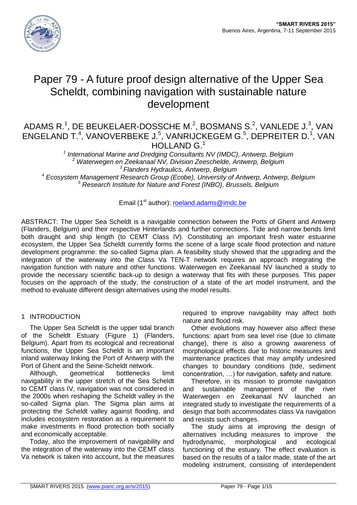

# Paper 79 - A future proof design alternative of the Upper Sea Scheldt, combining navigation with sustainable nature development

## ADAMS R.<sup>1</sup>, DE BEUKELAER-DOSSCHE M.<sup>2</sup>, BOSMANS S.<sup>2</sup>, VANLEDE J.<sup>3</sup>, VAN ENGELAND T.<sup>4</sup>, VANOVERBEKE J.<sup>5</sup>, VANRIJCKEGEM G.<sup>5</sup>, DEPREITER D.<sup>1</sup>, VAN HOLLAND G.<sup>1</sup>

 *International Marine and Dredging Consultants NV (IMDC), Antwerp, Belgium Waterwegen en Zeekanaal NV, Division Zeeschelde, Antwerp, Belgium Flanders Hydraulics, Antwerp, Belgium Ecosystem Management Research Group (Ecobe), University of Antwerp, Antwerp, Belgium*

*<sup>5</sup> Research Institute for Nature and Forest (INBO), Brussels, Belgium*

Email (1<sup>st</sup> author): [roeland.adams@imdc.be](mailto:roeland.adams@imdc.be)

ABSTRACT: The Upper Sea Scheldt is a navigable connection between the Ports of Ghent and Antwerp (Flanders, Belgium) and their respective Hinterlands and further connections. Tide and narrow bends limit both draught and ship length (to CEMT Class IV). Constituting an important fresh water estuarine ecosystem, the Upper Sea Scheldt currently forms the scene of a large scale flood protection and nature development programme: the so-called Sigma plan. A feasibility study showed that the upgrading and the integration of the waterway into the Class Va TEN-T network requires an approach integrating the navigation function with nature and other functions. Waterwegen en Zeekanaal NV launched a study to provide the necessary scientific back-up to design a waterway that fits with these purposes. This paper focuses on the approach of the study, the construction of a state of the art model instrument, and the method to evaluate different design alternatives using the model results.

## 1 INTRODUCTION

The Upper Sea Scheldt is the upper tidal branch of the Scheldt Estuary (Figure 1) (Flanders, Belgium). Apart from its ecological and recreational functions, the Upper Sea Scheldt is an important inland waterway linking the Port of Antwerp with the Port of Ghent and the Seine-Scheldt network.

Although, geometrical bottlenecks limit navigability in the upper stretch of the Sea Scheldt to CEMT class IV, navigation was not considered in the 2000s when reshaping the Scheldt valley in the so-called Sigma plan. The Sigma plan aims at protecting the Scheldt valley against flooding, and includes ecosystem restoration as a requirement to make investments in flood protection both socially and economically acceptable.

Today, also the improvement of navigability and the integration of the waterway into the CEMT class Va network is taken into account, but the measures required to improve navigability may affect both nature and flood risk.

Other evolutions may however also affect these functions: apart from sea level rise (due to climate change), there is also a growing awareness of morphological effects due to historic measures and maintenance practices that may amplify undesired changes to boundary conditions (tide, sediment concentration, …) for navigation, safety and nature.

Therefore, in its mission to promote navigation and sustainable management of the river Waterwegen en Zeekanaal NV launched an integrated study to investigate the requirements of a design that both accommodates class Va navigation and resists such changes.

The study aims at improving the design of alternatives including measures to improve the hydrodynamic, morphological and ecological functioning of the estuary. The effect evaluation is based on the results of a tailor made, state of the art modeling instrument, consisting of interdependent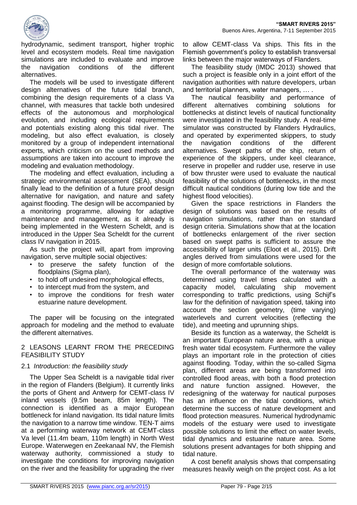

hydrodynamic, sediment transport, higher trophic level and ecosystem models. Real time navigation simulations are included to evaluate and improve the navigation conditions of the different alternatives.

The models will be used to investigate different design alternatives of the future tidal branch, combining the design requirements of a class Va channel, with measures that tackle both undesired effects of the autonomous and morphological evolution, and including ecological requirements and potentials existing along this tidal river. The modeling, but also effect evaluation, is closely monitored by a group of independent international experts, which criticism on the used methods and assumptions are taken into account to improve the modeling and evaluation methodology.

The modeling and effect evaluation, including a strategic environmental assessment (SEA), should finally lead to the definition of a future proof design alternative for navigation, and nature and safety against flooding. The design will be accompanied by a monitoring programme, allowing for adaptive maintenance and management, as it already is being implemented in the Western Scheldt, and is introduced in the Upper Sea Scheldt for the current class IV navigation in 2015.

As such the project will, apart from improving navigation, serve multiple social objectives:

- to preserve the safety function of the floodplains (Sigma plan),
- to hold off undesired morphological effects,
- to intercept mud from the system, and
- to improve the conditions for fresh water estuarine nature development.

The paper will be focusing on the integrated approach for modeling and the method to evaluate the different alternatives.

2 LEASONS LEARNT FROM THE PRECEDING FEASIBILITY STUDY

#### 2.1 *Introduction: the feasibility study*

The Upper Sea Scheldt is a navigable tidal river in the region of Flanders (Belgium). It currently links the ports of Ghent and Antwerp for CEMT-class IV inland vessels (9.5m beam, 85m length). The connection is identified as a major European bottleneck for inland navigation. Its tidal nature limits the navigation to a narrow time window. TEN-T aims at a performing waterway network at CEMT-class Va level (11.4m beam, 110m length) in North West Europe. Waterwegen en Zeekanaal NV, the Flemish waterway authority, commissioned a study to investigate the conditions for improving navigation on the river and the feasibility for upgrading the river

to allow CEMT-class Va ships. This fits in the Flemish government's policy to establish transversal links between the major waterways of Flanders.

The feasibility study (IMDC 2013) showed that such a project is feasible only in a joint effort of the navigation authorities with nature developers, urban and territorial planners, water managers, … .

The nautical feasibility and performance of different alternatives combining solutions for bottlenecks at distinct levels of nautical functionality were investigated in the feasibility study. A real-time simulator was constructed by Flanders Hydraulics, and operated by experimented skippers, to study the navigation conditions of the different alternatives. Swept paths of the ship, return of experience of the skippers, under keel clearance, reserve in propeller and rudder use, reserve in use of bow thruster were used to evaluate the nautical feasibility of the solutions of bottlenecks, in the most difficult nautical conditions (during low tide and the highest flood velocities).

Given the space restrictions in Flanders the design of solutions was based on the results of navigation simulations, rather than on standard design criteria. Simulations show that at the location of bottlenecks enlargement of the river section based on swept paths is sufficient to assure the accessibility of larger units (Eloot et al., 2015). Drift angles derived from simulations were used for the design of more comfortable solutions.

The overall performance of the waterway was determined using travel times calculated with a capacity model, calculating ship movement corresponding to traffic predictions, using Schijf's law for the definition of navigation speed, taking into account the section geometry, (time varying) waterlevels and current velocities (reflecting the tide), and meeting and uprunning ships.

Beside its function as a waterway, the Scheldt is an important European nature area, with a unique fresh water tidal ecosystem. Furthermore the valley plays an important role in the protection of cities against flooding. Today, within the so-called Sigma plan, different areas are being transformed into controlled flood areas, with both a flood protection and nature function assigned. However, the redesigning of the waterway for nautical purposes has an influence on the tidal conditions, which determine the success of nature development and flood protection measures. Numerical hydrodynamic models of the estuary were used to investigate possible solutions to limit the effect on water levels, tidal dynamics and estuarine nature area. Some solutions present advantages for both shipping and tidal nature.

A cost benefit analysis shows that compensating measures heavily weigh on the project cost. As a lot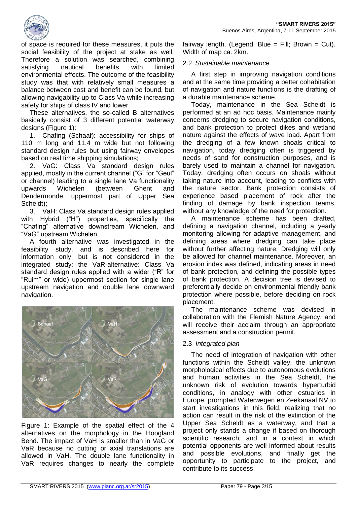

of space is required for these measures, it puts the social feasibility of the project at stake as well. Therefore a solution was searched, combining satisfying nautical benefits with limited environmental effects. The outcome of the feasibility study was that with relatively small measures a balance between cost and benefit can be found, but allowing navigability up to Class Va while increasing safety for ships of class IV and lower.

These alternatives, the so-called B alternatives basically consist of 3 different potential waterway designs (Figure 1):

1. Chafing (Schaaf): accessibility for ships of 110 m long and 11.4 m wide but not following standard design rules but using fairway envelopes based on real time shipping simulations;

2. VaG: Class Va standard design rules applied, mostly in the current channel ("G" for "Geul" or channel) leading to a single lane Va functionality upwards Wichelen (between Ghent and Dendermonde, uppermost part of Upper Sea Scheldt);

3. VaH: Class Va standard design rules applied with Hybrid ("H") properties, specifically the "Chafing" alternative downstream Wichelen, and "VaG" upstream Wichelen.

A fourth alternative was investigated in the feasibility study, and is described here for information only, but is not considered in the integrated study: the VaR-alternative: Class Va standard design rules applied with a wider ("R" for "Ruim" or wide) uppermost section for single lane upstream navigation and double lane downward navigation.



Figure 1: Example of the spatial effect of the 4 alternatives on the morphology in the Hoogland Bend. The impact of VaH is smaller than in VaG or VaR because no cutting or axial translations are allowed in VaH. The double lane functionality in VaR requires changes to nearly the complete

fairway length. (Legend: Blue = Fill; Brown = Cut). Width of map ca. 2km.

#### 2.2 *Sustainable maintenance*

A first step in improving navigation conditions and at the same time providing a better cohabitation of navigation and nature functions is the drafting of a durable maintenance scheme.

Today, maintenance in the Sea Scheldt is performed at an ad hoc basis. Maintenance mainly concerns dredging to secure navigation conditions, and bank protection to protect dikes and wetland nature against the effects of wave load. Apart from the dredging of a few known shoals critical to navigation, today dredging often is triggered by needs of sand for construction purposes, and is barely used to maintain a channel for navigation. Today, dredging often occurs on shoals without taking nature into account, leading to conflicts with the nature sector. Bank protection consists of experience based placement of rock after the finding of damage by bank inspection teams, without any knowledge of the need for protection.

A maintenance scheme has been drafted, defining a navigation channel, including a yearly monitoring allowing for adaptive management, and defining areas where dredging can take place without further affecting nature. Dredging will only be allowed for channel maintenance. Moreover, an erosion index was defined, indicating areas in need of bank protection, and defining the possible types of bank protection. A decision tree is devised to preferentially decide on environmental friendly bank protection where possible, before deciding on rock placement.

The maintenance scheme was devised in collaboration with the Flemish Nature Agency, and will receive their acclaim through an appropriate assessment and a construction permit.

#### 2.3 *Integrated plan*

The need of integration of navigation with other functions within the Scheldt valley, the unknown morphological effects due to autonomous evolutions and human activities in the Sea Scheldt, the unknown risk of evolution towards hyperturbid conditions, in analogy with other estuaries in Europe, prompted Waterwegen en Zeekanaal NV to start investigations in this field, realizing that no action can result in the risk of the extinction of the Upper Sea Scheldt as a waterway, and that a project only stands a change if based on thorough scientific research, and in a context in which potential opponents are well informed about results and possible evolutions, and finally get the opportunity to participate to the project, and contribute to its success.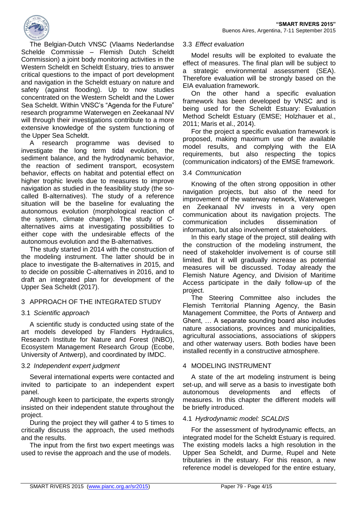

The Belgian-Dutch VNSC (Vlaams Nederlandse Schelde Commissie – Flemish Dutch Scheldt Commission) a joint body monitoring activities in the Western Scheldt en Scheldt Estuary, tries to answer critical questions to the impact of port development and navigation in the Scheldt estuary on nature and safety (against flooding). Up to now studies concentrated on the Western Scheldt and the Lower Sea Scheldt. Within VNSC's "Agenda for the Future" research programme Waterwegen en Zeekanaal NV will through their investigations contribute to a more extensive knowledge of the system functioning of the Upper Sea Scheldt.

A research programme was devised to investigate the long term tidal evolution, the sediment balance, and the hydrodynamic behavior, the reaction of sediment transport, ecosystem behavior, effects on habitat and potential effect on higher trophic levels due to measures to improve navigation as studied in the feasibility study (the socalled B-alternatives). The study of a reference situation will be the baseline for evaluating the autonomous evolution (morphological reaction of the system, climate change). The study of Calternatives aims at investigating possibilities to either cope with the undesirable effects of the autonomous evolution and the B-alternatives.

The study started in 2014 with the construction of the modeling instrument. The latter should be in place to investigate the B-alternatives in 2015, and to decide on possible C-alternatives in 2016, and to draft an integrated plan for development of the Upper Sea Scheldt (2017).

## 3 APPROACH OF THE INTEGRATED STUDY

#### 3.1 *Scientific approach*

A scientific study is conducted using state of the art models developed by Flanders Hydraulics, Research Institute for Nature and Forest (INBO), Ecosystem Management Research Group (Ecobe, University of Antwerp), and coordinated by IMDC.

#### 3.2 *Independent expert judgment*

Several international experts were contacted and invited to participate to an independent expert panel.

Although keen to participate, the experts strongly insisted on their independent statute throughout the project.

During the project they will gather 4 to 5 times to critically discuss the approach, the used methods and the results.

The input from the first two expert meetings was used to revise the approach and the use of models.

#### 3.3 *Effect evaluation*

Model results will be exploited to evaluate the effect of measures. The final plan will be subject to a strategic environmental assessment (SEA). Therefore evaluation will be strongly based on the EIA evaluation framework.

On the other hand a specific evaluation framework has been developed by VNSC and is being used for the Scheldt Estuary: Evaluation Method Scheldt Estuary (EMSE; Holzhauer et al., 2011; Maris et al., 2014).

For the project a specific evaluation framework is proposed, making maximum use of the available model results, and complying with the EIA requirements, but also respecting the topics (communication indicators) of the EMSE framework.

### 3.4 *Communication*

Knowing of the often strong opposition in other navigation projects, but also of the need for improvement of the waterway network, Waterwegen en Zeekanaal NV invests in a very open communication about its navigation projects. The communication includes dissemination of information, but also involvement of stakeholders.

In this early stage of the project, still dealing with the construction of the modeling instrument, the need of stakeholder involvement is of course still limited. But it will gradually increase as potential measures will be discussed. Today already the Flemish Nature Agency, and Division of Maritime Access participate in the daily follow-up of the project.

The Steering Committee also includes the Flemish Territorial Planning Agency, the Basin Management Committee, the Ports of Antwerp and Ghent, … A separate sounding board also includes nature associations, provinces and municipalities, agricultural associations, associations of skippers and other waterway users. Both bodies have been installed recently in a constructive atmosphere.

#### 4 MODELING INSTRUMENT

A state of the art modeling instrument is being set-up, and will serve as a basis to investigate both autonomous developments and effects of measures. In this chapter the different models will be briefly introduced.

#### 4.1 *Hydrodynamic model: SCALDIS*

For the assessment of hydrodynamic effects, an integrated model for the Scheldt Estuary is required. The existing models lacks a high resolution in the Upper Sea Scheldt, and Durme, Rupel and Nete tributaries in the estuary. For this reason, a new reference model is developed for the entire estuary,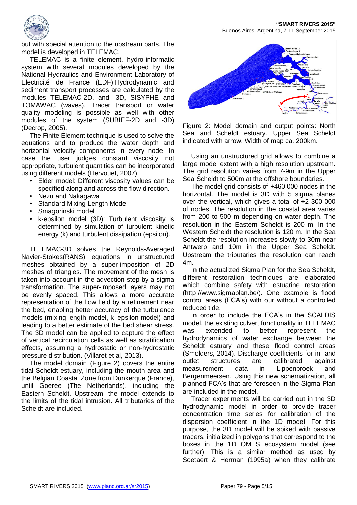**"SMART RIVERS 2015"** Buenos Aires, Argentina, 7-11 September 2015



but with special attention to the upstream parts. The model is developed in TELEMAC.

TELEMAC is a finite element, hydro-informatic system with several modules developed by the National Hydraulics and Environment Laboratory of Electricité de France (EDF).Hydrodynamic and sediment transport processes are calculated by the modules TELEMAC-2D, and -3D, SISYPHE and TOMAWAC (waves). Tracer transport or water quality modeling is possible as well with other modules of the system (SUBIEF-2D and -3D) (Decrop, 2005).

The Finite Element technique is used to solve the equations and to produce the water depth and horizontal velocity components in every node. In case the user judges constant viscosity not appropriate, turbulent quantities can be incorporated using different models (Hervouet, 2007):

- Elder model: Different viscosity values can be specified along and across the flow direction.
- Nezu and Nakagawa
- Standard Mixing Length Model
- Smagorinski model
- k-epsilon model (3D): Turbulent viscosity is determined by simulation of turbulent kinetic energy (k) and turbulent dissipation (epsilon).

TELEMAC-3D solves the Reynolds-Averaged Navier-Stokes(RANS) equations in unstructured meshes obtained by a super-imposition of 2D meshes of triangles. The movement of the mesh is taken into account in the advection step by a sigma transformation. The super-imposed layers may not be evenly spaced. This allows a more accurate representation of the flow field by a refinement near the bed, enabling better accuracy of the turbulence models (mixing-length model, k–epsilon model) and leading to a better estimate of the bed shear stress. The 3D model can be applied to capture the effect of vertical recirculation cells as well as stratification effects, assuming a hydrostatic or non-hydrostatic pressure distribution. (Villaret et al, 2013).

The model domain (Figure 2) covers the entire tidal Scheldt estuary, including the mouth area and the Belgian Coastal Zone from Dunkerque (France), until Goeree (The Netherlands), including the Eastern Scheldt. Upstream, the model extends to the limits of the tidal intrusion. All tributaries of the Scheldt are included.



Figure 2: Model domain and output points: North Sea and Scheldt estuary. Upper Sea Scheldt indicated with arrow. Width of map ca. 200km.

Using an unstructured grid allows to combine a large model extent with a high resolution upstream. The grid resolution varies from 7-9m in the Upper Sea Scheldt to 500m at the offshore boundaries.

The model grid consists of +460 000 nodes in the horizontal. The model is 3D with 5 sigma planes over the vertical, which gives a total of +2 300 000 of nodes. The resolution in the coastal area varies from 200 to 500 m depending on water depth. The resolution in the Eastern Scheldt is 200 m. In the Western Scheldt the resolution is 120 m. In the Sea Scheldt the resolution increases slowly to 30m near Antwerp and 10m in the Upper Sea Scheldt. Upstream the tributaries the resolution can reach  $4m$ 

In the actualized Sigma Plan for the Sea Scheldt, different restoration techniques are elaborated which combine safety with estuarine restoration (http://www.sigmaplan.be/). One example is flood control areas (FCA's) with our without a controlled reduced tide.

In order to include the FCA's in the SCALDIS model, the existing culvert functionality in TELEMAC was extended to better represent the hydrodynamics of water exchange between the Scheldt estuary and these flood control areas (Smolders, 2014). Discharge coefficients for in- and outlet structures are calibrated against measurement data in Lippenbroek and Bergenmeersen. Using this new schematization, all planned FCA's that are foreseen in the Sigma Plan are included in the model.

Tracer experiments will be carried out in the 3D hydrodynamic model in order to provide tracer concentration time series for calibration of the dispersion coefficient in the 1D model. For this purpose, the 3D model will be spiked with passive tracers, initialized in polygons that correspond to the boxes in the 1D OMES ecosystem model (see further). This is a similar method as used by Soetaert & Herman (1995a) when they calibrate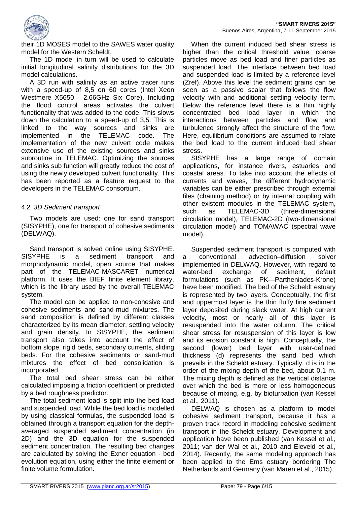

their 1D MOSES model to the SAWES water quality model for the Western Scheldt.

The 1D model in turn will be used to calculate initial longitudinal salinity distributions for the 3D model calculations.

A 3D run with salinity as an active tracer runs with a speed-up of 8,5 on 60 cores (Intel Xeon Westmere X5650 - 2.66GHz Six Core). Including the flood control areas activates the culvert functionality that was added to the code. This slows down the calculation to a speed-up of 3,5. This is linked to the way sources and sinks are implemented in the TELEMAC code. The implementation of the new culvert code makes extensive use of the existing sources and sinks subroutine in TELEMAC. Optimizing the sources and sinks sub function will greatly reduce the cost of using the newly developed culvert functionality. This has been reported as a feature request to the developers in the TELEMAC consortium.

#### 4.2 *3D Sediment transport*

Two models are used: one for sand transport (SISYPHE), one for transport of cohesive sediments (DELWAQ).

Sand transport is solved online using SISYPHE. SISYPHE is a sediment transport and morphodynamic model, open source that makes part of the TELEMAC-MASCARET numerical platform. It uses the BIEF finite element library, which is the library used by the overall TELEMAC system.

The model can be applied to non-cohesive and cohesive sediments and sand-mud mixtures. The sand composition is defined by different classes characterized by its mean diameter, settling velocity and grain density. In SISYPHE, the sediment transport also takes into account the effect of bottom slope, rigid beds, secondary currents, sliding beds. For the cohesive sediments or sand-mud mixtures the effect of bed consolidation is incorporated.

The total bed shear stress can be either calculated imposing a friction coefficient or predicted by a bed roughness predictor.

The total sediment load is split into the bed load and suspended load. While the bed load is modelled by using classical formulas, the suspended load is obtained through a transport equation for the depthaveraged suspended sediment concentration (in 2D) and the 3D equation for the suspended sediment concentration. The resulting bed changes are calculated by solving the Exner equation - bed evolution equation, using either the finite element or finite volume formulation.

When the current induced bed shear stress is higher than the critical threshold value, coarse particles move as bed load and finer particles as suspended load. The interface between bed load and suspended load is limited by a reference level (Zref). Above this level the sediment grains can be seen as a passive scalar that follows the flow velocity with and additional settling velocity term. Below the reference level there is a thin highly concentrated bed load layer in which the interactions between particles and flow and turbulence strongly affect the structure of the flow. Here, equilibrium conditions are assumed to relate the bed load to the current induced bed shear stress.

SISYPHE has a large range of domain applications, for instance rivers, estuaries and coastal areas. To take into account the effects of currents and waves, the different hydrodynamic variables can be either prescribed through external files (chaining method) or by internal coupling with other existent modules in the TELEMAC system, such as TELEMAC-3D (three-dimensional circulation model), TELEMAC-2D (two-dimensional circulation model) and TOMAWAC (spectral wave model).

Suspended sediment transport is computed with a conventional advection–diffusion solver implemented in DELWAQ. However, with regard to water-bed exchange of sediment, default formulations (such as PK—Partheniades-Krone) have been modified. The bed of the Scheldt estuary is represented by two layers. Conceptually, the first and uppermost layer is the thin fluffy fine sediment layer deposited during slack water. At high current velocity, most or nearly all of this layer is resuspended into the water column. The critical shear stress for resuspension of this layer is low and its erosion constant is high. Conceptually, the second (lower) bed layer with user-defined thickness (d) represents the sand bed which prevails in the Scheldt estuary. Typically, d is in the order of the mixing depth of the bed, about 0,1 m. The mixing depth is defined as the vertical distance over which the bed is more or less homogeneous because of mixing, e.g. by bioturbation (van Kessel et al., 2011).

DELWAQ is chosen as a platform to model cohesive sediment transport, because it has a proven track record in modeling cohesive sediment transport in the Scheldt estuary. Development and application have been published (van Kessel et al., 2011; van der Wal et al., 2010 and Eleveld et al., 2014). Recently, the same modeling approach has been applied to the Ems estuary bordering The Netherlands and Germany (van Maren et al., 2015).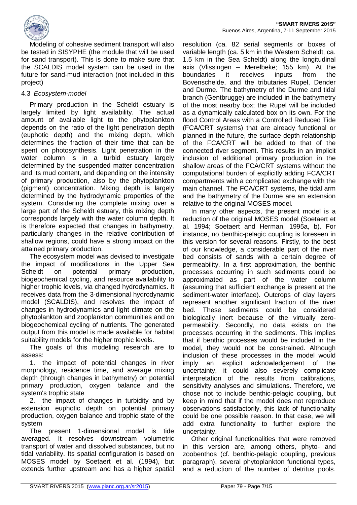

Modeling of cohesive sediment transport will also be tested in SISYPHE (the module that will be used for sand transport). This is done to make sure that the SCALDIS model system can be used in the future for sand-mud interaction (not included in this project)

## 4.3 *Ecosystem-model*

Primary production in the Scheldt estuary is largely limited by light availability. The actual amount of available light to the phytoplankton depends on the ratio of the light penetration depth (euphotic depth) and the mixing depth, which determines the fraction of their time that can be spent on photosynthesis. Light penetration in the water column is in a turbid estuary largely determined by the suspended matter concentration and its mud content, and depending on the intensity of primary production, also by the phytoplankton (pigment) concentration. Mixing depth is largely determined by the hydrodynamic properties of the system. Considering the complete mixing over a large part of the Scheldt estuary, this mixing depth corresponds largely with the water column depth. It is therefore expected that changes in bathymetry, particularly changes in the relative contribution of shallow regions, could have a strong impact on the attained primary production.

The ecosystem model was devised to investigate the impact of modifications in the Upper Sea Scheldt on potential primary production, biogeochemical cycling, and resource availability to higher trophic levels, via changed hydrodynamics. It receives data from the 3-dimensional hydrodynamic model (SCALDIS), and resolves the impact of changes in hydrodynamics and light climate on the phytoplankton and zooplankton communities and on biogeochemical cycling of nutrients. The generated output from this model is made available for habitat suitability models for the higher trophic levels.

The goals of this modeling research are to assess:

1. the impact of potential changes in river morphology, residence time, and average mixing depth (through changes in bathymetry) on potential primary production, oxygen balance and the system's trophic state

2. the impact of changes in turbidity and by extension euphotic depth on potential primary production, oxygen balance and trophic state of the system

The present 1-dimensional model is tide averaged. It resolves downstream volumetric transport of water and dissolved substances, but no tidal variability. Its spatial configuration is based on MOSES model by Soetaert et al. (1994), but extends further upstream and has a higher spatial

resolution (ca. 82 serial segments or boxes of variable length (ca. 5 km in the Western Scheldt, ca. 1.5 km in the Sea Scheldt) along the longitudinal axis (Vlissingen – Merelbeke; 155 km). At the boundaries it receives inputs from the Bovenschelde, and the tributaries Rupel, Dender and Durme. The bathymetry of the Durme and tidal branch (Gentbrugge) are included in the bathymetry of the most nearby box; the Rupel will be included as a dynamically calculated box on its own. For the flood Control Areas with a Controlled Reduced Tide (FCA/CRT systems) that are already functional or planned in the future, the surface-depth relationship of the FCA/CRT will be added to that of the connected river segment. This results in an implicit inclusion of additional primary production in the shallow areas of the FCA/CRT systems without the computational burden of explicitly adding FCA/CRT compartments with a complicated exchange with the main channel. The FCA/CRT systems, the tidal arm and the bathymetry of the Durme are an extension relative to the original MOSES model.

In many other aspects, the present model is a reduction of the original MOSES model (Soetaert et al. 1994; Soetaert and Herman, 1995a, b). For instance, no benthic-pelagic coupling is foreseen in this version for several reasons. Firstly, to the best of our knowledge, a considerable part of the river bed consists of sands with a certain degree of permeability. In a first approximation, the benthic processes occurring in such sediments could be approximated as part of the water column (assuming that sufficient exchange is present at the sediment-water interface). Outcrops of clay layers represent another significant fraction of the river bed. These sediments could be considered biologically inert because of the virtually zeropermeability. Secondly, no data exists on the processes occurring in the sediments. This implies that if benthic processes would be included in the model, they would not be constrained. Although inclusion of these processes in the model would imply an explicit acknowledgement of the uncertainty, it could also severely complicate interpretation of the results from calibrations, sensitivity analyses and simulations. Therefore, we chose not to include benthic-pelagic coupling, but keep in mind that if the model does not reproduce observations satisfactorily, this lack of functionality could be one possible reason. In that case, we will add extra functionality to further explore the uncertainty.

Other original functionalities that were removed in this version are, among others, phyto- and zoobenthos (cf. benthic-pelagic coupling, previous paragraph), several phytoplankton functional types, and a reduction of the number of detritus pools.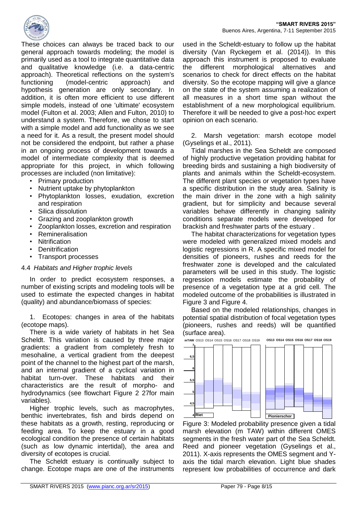

These choices can always be traced back to our general approach towards modeling; the model is primarily used as a tool to integrate quantitative data and qualitative knowledge (i.e. a data-centric approach). Theoretical reflections on the system's functioning (model-centric approach) and hypothesis generation are only secondary. In addition, it is often more efficient to use different simple models, instead of one 'ultimate' ecosystem model (Fulton et al. 2003; Allen and Fulton, 2010) to understand a system. Therefore, we chose to start with a simple model and add functionality as we see a need for it. As a result, the present model should not be considered the endpoint, but rather a phase in an ongoing process of development towards a model of intermediate complexity that is deemed appropriate for this project, in which following processes are included (non limitative):

- Primary production
- Nutrient uptake by phytoplankton
- Phytoplankton losses, exudation, excretion and respiration
- Silica dissolution
- Grazing and zooplankton growth
- Zooplankton losses, excretion and respiration
- Remineralisation
- **Nitrification**
- **Denitrification**
- Transport processes

#### 4.4 *Habitats and Higher trophic levels*

In order to predict ecosystem responses, a number of existing scripts and modeling tools will be used to estimate the expected changes in habitat (quality) and abundance/biomass of species:

1. Ecotopes: changes in area of the habitats (ecotope maps).

There is a wide variety of habitats in het Sea Scheldt. This variation is caused by three major gradients: a gradient from completely fresh to mesohaline, a vertical gradient from the deepest point of the channel to the highest part of the marsh, and an internal gradient of a cyclical variation in habitat turn-over. These habitats and their characteristics are the result of morpho- and hydrodynamics (see flowchart Figure 2 27for main variables).

Higher trophic levels, such as macrophytes, benthic invertebrates, fish and birds depend on these habitats as a growth, resting, reproducing or feeding area. To keep the estuary in a good ecological condition the presence of certain habitats (such as low dynamic intertidal), the area and diversity of ecotopes is crucial.

The Scheldt estuary is continually subject to change. Ecotope maps are one of the instruments

used in the Scheldt-estuary to follow up the habitat diversity (Van Ryckegem et al. (2014)). In this approach this instrument is proposed to evaluate the different morphological alternatives and scenarios to check for direct effects on the habitat diversity. So the ecotope mapping will give a glance on the state of the system assuming a realization of all measures in a short time span without the establishment of a new morphological equilibrium. Therefore it will be needed to give a post-hoc expert opinion on each scenario.

2. Marsh vegetation: marsh ecotope model (Gyselings et al., 2011).

Tidal marshes in the Sea Scheldt are composed of highly productive vegetation providing habitat for breeding birds and sustaining a high biodiversity of plants and animals within the Scheldt-ecosystem. The different plant species or vegetation types have a specific distribution in the study area. Salinity is the main driver in the zone with a high salinity gradient, but for simplicity and because several variables behave differently in changing salinity conditions separate models were developed for brackish and freshwater parts of the estuary .

The habitat characterizations for vegetation types were modeled with generalized mixed models and logistic regressions in R. A specific mixed model for densities of pioneers, rushes and reeds for the freshwater zone is developed and the calculated **7** parameters will be used in this study. The logistic **6,5** regression models estimate the probability of presence of a vegetation type at a grid cell. The **6** modeled outcome of the probabilities is illustrated in Figure 3 and Figure 4. **5,5**

Based on the modeled relationships, changes in **5** potential spatial distribution of focal vegetation types (pioneers, rushes and reeds) will be quantified **4,5** (surface area).



Figure 3: Modeled probability presence given a tidal marsh elevation (m TAW) within different OMES **7 7** segments in the fresh water part of the Sea Scheldt. **6,5 6,5** Reed and pioneer vegetation (Gyselings et al., 2011). X-axis represents the OMES segment and Yaxis the tidal march elevation. Light blue shades **5,5 5,5** represent low probabilities of occurrence and dark 0,1 0,2

0,5 0,6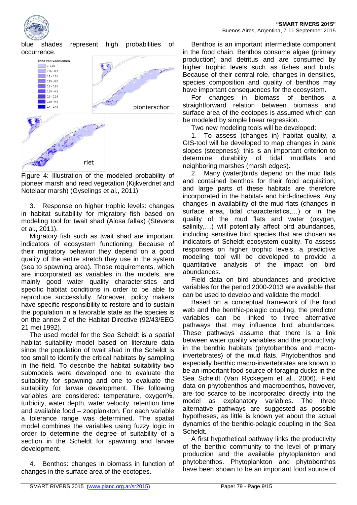

kans van voorkomer  $0 - 0.05$  $0.05 - 0.1$  $0.1 - 0.15$  $0.15 - 0.2$  $0.2 - 0.25$  $0.25 - 0.3$  $0.3 - 0.35$  $0.35 - 0.4$  $0.4 - 0.45$ pionierschor riet

Figure 4: Illustration of the modeled probability of pioneer marsh and reed vegetation (Kijkverdriet and Notelaar marsh) (Gyselings et al., 2011)

3. Response on higher trophic levels: changes in habitat suitability for migratory fish based on modeling tool for twait shad (Alosa fallax) (Stevens et al., 2011).

Migratory fish such as twait shad are important indicators of ecosystem functioning. Because of their migratory behavior they depend on a good quality of the entire stretch they use in the system (sea to spawning area). Those requirements, which are incorporated as variables in the models, are mainly good water quality characteristics and specific habitat conditions in order to be able to reproduce successfully. Moreover, policy makers have specific responsibility to restore and to sustain the population in a favorable state as the species is on the annex 2 of the Habitat Directive (92/43/EEG 21 mei 1992).

The used model for the Sea Scheldt is a spatial habitat suitability model based on literature data since the population of twait shad in the Scheldt is too small to identify the critical habitats by sampling in the field. To describe the habitat suitability two submodels were developed one to evaluate the suitability for spawning and one to evaluate the suitability for larvae development. The following variables are considered: temperature, oxygen%, turbidity, water depth, water velocity, retention time and available food – zooplankton. For each variable a tolerance range was determined. The spatial model combines the variables using fuzzy logic in order to determine the degree of suitability of a section in the Scheldt for spawning and larvae development.

Benthos: changes in biomass in function of changes in the surface area of the ecotopes.

Benthos is an important intermediate component in the food chain. Benthos consume algae (primary production) and detritus and are consumed by higher trophic levels such as fishes and birds. Because of their central role, changes in densities, species composition and quality of benthos may have important consequences for the ecosystem.

For changes in biomass of benthos a straightforward relation between biomass and surface area of the ecotopes is assumed which can be modeled by simple linear regression.

Two new modeling tools will be developed:

1. To assess (changes in) habitat quality, a GIS-tool will be developed to map changes in bank slopes (steepness): this is an important criterion to determine durability of tidal mudflats and neighboring marshes (marsh edges).

2. Many (water)birds depend on the mud flats and contained benthos for their food acquisition, and large parts of these habitats are therefore incorporated in the habitat- and bird-directives. Any changes in availability of the mud flats (changes in surface area, tidal characteristics,…) or in the quality of the mud flats and water (oxygen, salinity,...) will potentially affect bird abundances, including sensitive bird species that are chosen as indicators of Scheldt ecosystem quality. To assess responses on higher trophic levels, a predictive modeling tool will be developed to provide a quantitative analysis of the impact on bird abundances.

Field data on bird abundances and predictive variables for the period 2000-2013 are available that can be used to develop and validate the model.

Based on a conceptual framework of the food web and the benthic-pelagic coupling, the predictor variables can be linked to three alternative pathways that may influence bird abundances. These pathways assume that there is a link between water quality variables and the productivity in the benthic habitats (phytobenthos and macroinvertebrates) of the mud flats. Phytobenthos and especially benthic macro-invertebrates are known to be an important food source of foraging ducks in the Sea Scheldt (Van Ryckegem et al., 2006). Field data on phytobenthos and macrobenthos, however, are too scarce to be incorporated directly into the model as explanatory variables. The three alternative pathways are suggested as possible hypotheses, as little is known yet about the actual dynamics of the benthic-pelagic coupling in the Sea Scheldt.

A first hypothetical pathway links the productivity of the benthic community to the level of primary production and the available phytoplankton and phytobenthos. Phytoplankton and phytobenthos have been shown to be an important food source of

blue shades represent high probabilities of occurrence.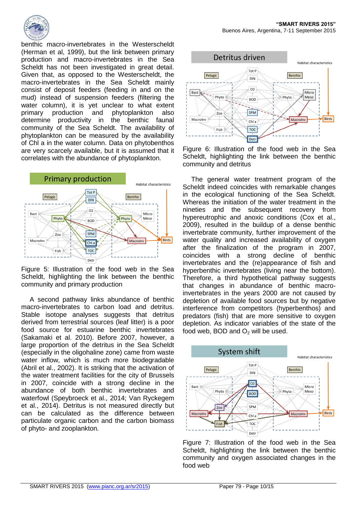

benthic macro-invertebrates in the Westerscheldt (Herman et al, 1999), but the link between primary production and macro-invertebrates in the Sea Scheldt has not been investigated in great detail. Given that, as opposed to the Westerscheldt, the macro-invertebrates in the Sea Scheldt mainly consist of deposit feeders (feeding in and on the mud) instead of suspension feeders (filtering the water column), it is yet unclear to what extent primary production and phytoplankton also determine productivity in the benthic faunal community of the Sea Scheldt. The availability of phytoplankton can be measured by the availability of Chl a in the water column. Data on phytobenthos are very scarcely available, but it is assumed that it correlates with the abundance of phytoplankton.



Figure 5: Illustration of the food web in the Sea Scheldt, highlighting the link between the benthic community and primary production

A second pathway links abundance of benthic macro-invertebrates to carbon load and detritus. Stable isotope analyses suggests that detritus derived from terrestrial sources (leaf litter) is a poor food source for estuarine benthic invertebrates (Sakamaki et al. 2010). Before 2007, however, a large proportion of the detritus in the Sea Scheldt (especially in the oligohaline zone) came from waste water inflow, which is much more biodegradable (Abril et al., 2002). It is striking that the activation of the water treatment facilities for the city of Brussels in 2007, coincide with a strong decline in the abundance of both benthic invertebrates and waterfowl (Speybroeck et al., 2014; Van Ryckegem et al., 2014). Detritus is not measured directly but can be calculated as the difference between particulate organic carbon and the carbon biomass of phyto- and zooplankton.



Figure 6: Illustration of the food web in the Sea Scheldt, highlighting the link between the benthic community and detritus

The general water treatment program of the Scheldt indeed coincides with remarkable changes in the ecological functioning of the Sea Scheldt. Whereas the initiation of the water treatment in the nineties and the subsequent recovery from hypereutrophic and anoxic conditions (Cox et al., 2009), resulted in the buildup of a dense benthic invertebrate community, further improvement of the water quality and increased availability of oxygen after the finalization of the program in 2007, coincides with a strong decline of benthic invertebrates and the (re)appearance of fish and hyperbenthic invertebrates (living near the bottom). Therefore, a third hypothetical pathway suggests that changes in abundance of benthic macroinvertebrates in the years 2000 are not caused by depletion of available food sources but by negative interference from competitors (hyperbenthos) and predators (fish) that are more sensitive to oxygen depletion. As indicator variables of the state of the food web, BOD and  $O<sub>2</sub>$  will be used.



Figure 7: Illustration of the food web in the Sea Scheldt, highlighting the link between the benthic community and oxygen associated changes in the food web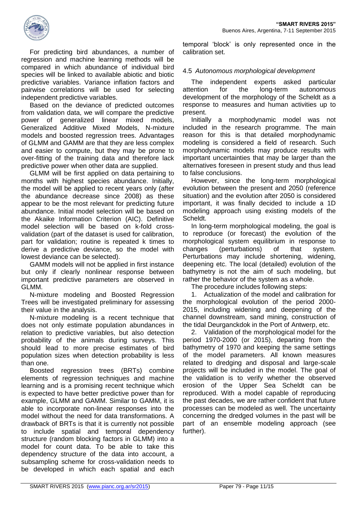

For predicting bird abundances, a number of regression and machine learning methods will be compared in which abundance of individual bird species will be linked to available abiotic and biotic predictive variables. Variance inflation factors and pairwise correlations will be used for selecting independent predictive variables.

Based on the deviance of predicted outcomes from validation data, we will compare the predictive power of generalized linear mixed models, Generalized Additive Mixed Models, N-mixture models and boosted regression trees. Advantages of GLMM and GAMM are that they are less complex and easier to compute, but they may be prone to over-fitting of the training data and therefore lack predictive power when other data are supplied.

GLMM will be first applied on data pertaining to months with highest species abundance. Initially, the model will be applied to recent years only (after the abundance decrease since 2008) as these appear to be the most relevant for predicting future abundance. Initial model selection will be based on the Akaike Information Criterion (AIC). Definitive model selection will be based on k-fold crossvalidation (part of the dataset is used for calibration, part for validation; routine is repeated k times to derive a predictive deviance, so the model with lowest deviance can be selected).

GAMM models will not be applied in first instance but only if clearly nonlinear response between important predictive parameters are observed in GLMM.

N-mixture modeling and Boosted Regression Trees will be investigated preliminary for assessing their value in the analysis.

N-mixture modeling is a recent technique that does not only estimate population abundances in relation to predictive variables, but also detection probability of the animals during surveys. This should lead to more precise estimates of bird population sizes when detection probability is less than one.

Boosted regression trees (BRTs) combine elements of regression techniques and machine learning and is a promising recent technique which is expected to have better predictive power than for example, GLMM and GAMM. Similar to GAMM, it is able to incorporate non-linear responses into the model without the need for data transformations. A drawback of BRTs is that it is currently not possible to include spatial and temporal dependency structure (random blocking factors in GLMM) into a model for count data. To be able to take this dependency structure of the data into account, a subsampling scheme for cross-validation needs to be developed in which each spatial and each

temporal 'block' is only represented once in the calibration set.

## 4.5 *Autonomous morphological development*

The independent experts asked particular attention for the long-term autonomous development of the morphology of the Scheldt as a response to measures and human activities up to present.

Initially a morphodynamic model was not included in the research programme. The main reason for this is that detailed morphodynamic modeling is considered a field of research. Such morphodynamic models may produce results with important uncertainties that may be larger than the alternatives foreseen in present study and thus lead to false conclusions.

However, since the long-term morphological evolution between the present and 2050 (reference situation) and the evolution after 2050 is considered important, it was finally decided to include a 1D modeling approach using existing models of the Scheldt.

In long-term morphological modeling, the goal is to reproduce (or forecast) the evolution of the morphological system equilibrium in response to changes (perturbations) of that system. Perturbations may include shortening, widening, deepening etc. The local (detailed) evolution of the bathymetry is not the aim of such modeling, but rather the behavior of the system as a whole.

The procedure includes following steps:

1. Actualization of the model and calibration for the morphological evolution of the period 2000- 2015, including widening and deepening of the channel downstream, sand mining, construction of the tidal Deurganckdok in the Port of Antwerp, etc.

2. Validation of the morphological model for the period 1970-2000 (or 2015), departing from the bathymetry of 1970 and keeping the same settings of the model parameters. All known measures related to dredging and disposal and large-scale projects will be included in the model. The goal of the validation is to verify whether the observed erosion of the Upper Sea Scheldt can be reproduced. With a model capable of reproducing the past decades, we are rather confident that future processes can be modeled as well. The uncertainty concerning the dredged volumes in the past will be part of an ensemble modeling approach (see further).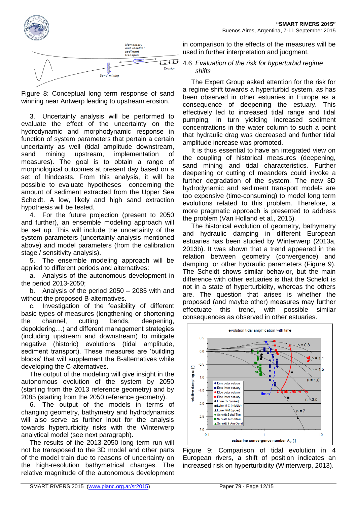

Figure 8: Conceptual long term response of sand winning near Antwerp leading to upstream erosion.

3. Uncertainty analysis will be performed to evaluate the effect of the uncertainty on the hydrodynamic and morphodynamic response in function of system parameters that pertain a certain uncertainty as well (tidal amplitude downstream, sand mining upstream, implementation of measures). The goal is to obtain a range of morphological outcomes at present day based on a set of hindcasts. From this analysis, it will be possible to evaluate hypotheses concerning the amount of sediment extracted from the Upper Sea Scheldt. A low, likely and high sand extraction hypothesis will be tested.

4. For the future projection (present to 2050 and further), an ensemble modeling approach will be set up. This will include the uncertainty of the system parameters (uncertainty analysis mentioned above) and model parameters (from the calibration stage / sensitivity analysis).

5. The ensemble modeling approach will be applied to different periods and alternatives:

a. Analysis of the autonomous development in the period 2013-2050;

b. Analysis of the period 2050 – 2085 with and without the proposed B-alternatives.

c. Investigation of the feasibility of different basic types of measures (lengthening or shortening the channel, cutting bends, deepening, depoldering…) and different management strategies (including upstream and downstream) to mitigate negative (historic) evolutions (tidal amplitude, sediment transport). These measures are 'building blocks' that will supplement the B-alternatives while developing the C-alternatives.

The output of the modeling will give insight in the autonomous evolution of the system by 2050 (starting from the 2013 reference geometry) and by 2085 (starting from the 2050 reference geometry).

6. The output of the models in terms of changing geometry, bathymetry and hydrodynamics will also serve as further input for the analysis towards hyperturbidity risks with the Winterwerp analytical model (see next paragraph).

The results of the 2013-2050 long term run will not be transposed to the 3D model and other parts of the model train due to reasons of uncertainty on the high-resolution bathymetrical changes. The relative magnitude of the autonomous development in comparison to the effects of the measures will be used in further interpretation and judgment.

#### 4.6 *Evaluation of the risk for hyperturbid regime shifts*

The Expert Group asked attention for the risk for a regime shift towards a hyperturbid system, as has been observed in other estuaries in Europe as a consequence of deepening the estuary. This effectively led to increased tidal range and tidal pumping, in turn yielding increased sediment concentrations in the water column to such a point that hydraulic drag was decreased and further tidal amplitude increase was promoted.

It is thus essential to have an integrated view on the coupling of historical measures (deepening, sand mining and tidal characteristics. Further deepening or cutting of meanders could invoke a further degradation of the system. The new 3D hydrodynamic and sediment transport models are too expensive (time-consuming) to model long term evolutions related to this problem. Therefore, a more pragmatic approach is presented to address the problem (Van Holland et al., 2015).

The historical evolution of geometry, bathymetry and hydraulic damping in different European estuaries has been studied by Winterwerp (2013a, 2013b). It was shown that a trend appeared in the relation between geometry (convergence) and damping, or other hydraulic parameters (Figure 9). The Scheldt shows similar behavior, but the main difference with other estuaries is that the Scheldt is not in a state of hyperturbidity, whereas the others are. The question that arises is whether the proposed (and maybe other) measures may further effectuate this trend, with possible similar consequences as observed in other estuaries.



Figure 9: Comparison of tidal evolution in 4 European rivers, a shift of position indicates an increased risk on hyperturbidity (Winterwerp, 2013).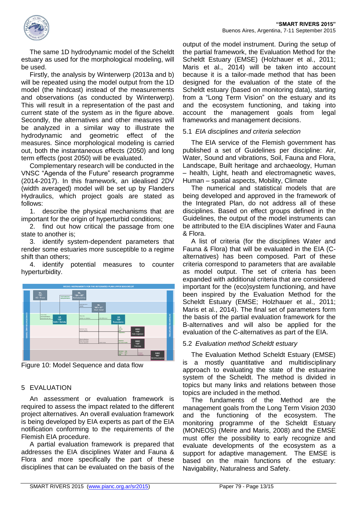

The same 1D hydrodynamic model of the Scheldt estuary as used for the morphological modeling, will be used.

Firstly, the analysis by Winterwerp (2013a and b) will be repeated using the model output from the 1D model (the hindcast) instead of the measurements and observations (as conducted by Winterwerp). This will result in a representation of the past and current state of the system as in the figure above. Secondly, the alternatives and other measures will be analyzed in a similar way to illustrate the hydrodynamic and geometric effect of the measures. Since morphological modeling is carried out, both the instantaneous effects (2050) and long term effects (post 2050) will be evaluated.

Complementary research will be conducted in the VNSC "Agenda of the Future" research programme (2014-2017). In this framework, an idealised 2DV (width averaged) model will be set up by Flanders Hydraulics, which project goals are stated as follows:

1. describe the physical mechanisms that are important for the origin of hyperturbid conditions;

2. find out how critical the passage from one state to another is;

3. identify system-dependent parameters that render some estuaries more susceptible to a regime shift than others;

4. identify potential measures to counter hyperturbidity.



Figure 10: Model Sequence and data flow

#### 5 EVALUATION

An assessment or evaluation framework is required to assess the impact related to the different project alternatives. An overall evaluation framework is being developed by EIA experts as part of the EIA notification conforming to the requirements of the Flemish EIA procedure.

A partial evaluation framework is prepared that addresses the EIA disciplines Water and Fauna & Flora and more specifically the part of these disciplines that can be evaluated on the basis of the

output of the model instrument. During the setup of the partial framework, the Evaluation Method for the Scheldt Estuary (EMSE) (Holzhauer et al., 2011; Maris et al., 2014) will be taken into account because it is a tailor-made method that has been designed for the evaluation of the state of the Scheldt estuary (based on monitoring data), starting from a "Long Term Vision" on the estuary and its and the ecosystem functioning, and taking into account the management goals from legal frameworks and management decisions.

#### 5.1 *EIA disciplines and criteria selection*

The EIA service of the Flemish government has published a set of Guidelines per discipline: Air, Water, Sound and vibrations, Soil, Fauna and Flora, Landscape, Built heritage and archaeology, Human – health, Light, heath and electromagnetic waves, Human – spatial aspects, Mobility, Climate

The numerical and statistical models that are being developed and approved in the framework of the Integrated Plan, do not address all of these disciplines. Based on effect groups defined in the Guidelines, the output of the model instruments can be attributed to the EIA disciplines Water and Fauna & Flora.

A list of criteria (for the disciplines Water and Fauna & Flora) that will be evaluated in the EIA (Calternatives) has been composed. Part of these criteria correspond to parameters that are available as model output. The set of criteria has been expanded with additional criteria that are considered important for the (eco)system functioning, and have been inspired by the Evaluation Method for the Scheldt Estuary (EMSE; Holzhauer et al., 2011; Maris et al., 2014). The final set of parameters form the basis of the partial evaluation framework for the B-alternatives and will also be applied for the evaluation of the C-alternatives as part of the EIA.

#### 5.2 *Evaluation method Scheldt estuary*

The Evaluation Method Scheldt Estuary (EMSE) is a mostly quantitative and multidisciplinary approach to evaluating the state of the estuarine system of the Scheldt. The method is divided in topics but many links and relations between those topics are included in the method.

The fundaments of the Method are the management goals from the Long Term Vision 2030 and the functioning of the ecosystem. The monitoring programme of the Scheldt Estuary (MONEOS) (Meire and Maris, 2008) and the EMSE must offer the possibility to early recognize and evaluate developments of the ecosystem as a support for adaptive management. The EMSE is based on the main functions of the estuary: Navigability, Naturalness and Safety.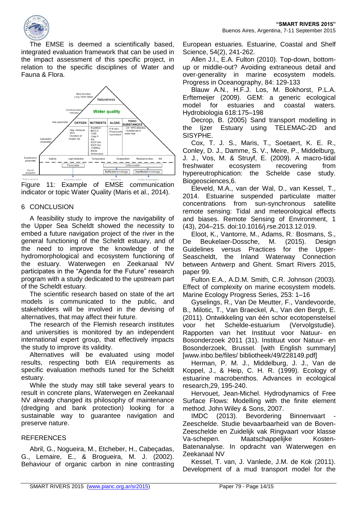

**"SMART RIVERS 2015"** Buenos Aires, Argentina, 7-11 September 2015

The EMSE is deemed a scientifically based, integrated evaluation framework that can be used in the impact assessment of this specific project, in relation to the specific disciplines of Water and Fauna & Flora.



Figure 11: Example of EMSE communication indicator or topic Water Quality (Maris et al., 2014).

## 6 CONCLUSION

A feasibility study to improve the navigability of the Upper Sea Scheldt showed the necessity to embed a future navigation project of the river in the general functioning of the Scheldt estuary, and of the need to improve the knowledge of the hydromorphological and ecosystem functioning of the estuary. Waterwegen en Zeekanaal NV participates in the "Agenda for the Future" research program with a study dedicated to the upstream part of the Scheldt estuary.

The scientific research based on state of the art models is communicated to the public, and stakeholders will be involved in the devising of alternatives, that may affect their future.

The research of the Flemish research institutes and universities is monitored by an independent international expert group, that effectively impacts the study to improve its validity.

Alternatives will be evaluated using model results, respecting both EIA requirements as specific evaluation methods tuned for the Scheldt estuary.

While the study may still take several years to result in concrete plans, Waterwegen en Zeekanaal NV already changed its philosophy of maintenance (dredging and bank protection) looking for a sustainable way to guarantee navigation and preserve nature.

#### **REFERENCES**

Abril, G., Nogueira, M., Etcheber, H., Cabeçadas, G., Lemaire, E., & Brogueira, M. J. (2002). Behaviour of organic carbon in nine contrasting European estuaries. Estuarine, Coastal and Shelf Science, 54(2), 241-262.

Allen J.I., E.A. Fulton (2010). Top-down, bottomup or middle-out? Avoiding extraneous detail and over-generality in marine ecosystem models. Progress in Oceanography, 84: 129-133

Blauw A.N., H.F.J. Los, M. Bokhorst, P.L.A. Erftemeijer (2009). GEM: a generic ecological model for estuaries and coastal waters. Hydrobiologia 618:175–198

Decrop, B. (2005) Sand transport modelling in the Ijzer Estuary using TELEMAC-2D and SISYPHE.

Cox, T. J. S., Maris, T., Soetaert, K. E. R., Conley, D. J., Damme, S. V., Meire, P., Middelburg, J. J., Vos, M. & Struyf, E. (2009). A macro-tidal freshwater ecosystem recovering from hypereutrophication: the Schelde case study. Biogeosciences,6.

Eleveld, M.A., van der Wal, D., van Kessel, T., 2014. Estuarine suspended particulate matter concentrations from sun-synchronous satellite remote sensing: Tidal and meteorological effects and biases. Remote Sensing of Environment, 1 (43), 204–215. doi:10.1016/j.rse.2013.12.019.

Eloot, K., Vantorre, M., Adams, R. Bosmans, S., De Beukelaer-Dossche, M. (2015). Design Guidelines versus Practices for the Upper-Seascheldt, the Inland Waterway Connection between Antwerp and Ghent. Smart Rivers 2015, paper 99.

Fulton E.A., A.D.M. Smith, C.R. Johnson (2003). Effect of complexity on marine ecosystem models. Marine Ecology Progress Series, 253: 1–16

Gyselings, R., Van De Meutter, F., Vandevoorde, B., Milotic, T., Van Braeckel, A., Van den Bergh, E. (2011). Ontwikkeling van één schor ecotopenstelsel voor het Schelde-estuarium (Vervolgstudie). Rapporten van het Instituut voor Natuur- en Bosonderzoek 2011 (31). Instituut voor Natuur- en Bosonderzoek, Brussel. [with English summary] [www.inbo.be/files/ bibliotheek/49/228149.pdf]

Herman, P. M. J., Middelburg, J. J., Van de Koppel, J., & Heip, C. H. R. (1999). Ecology of estuarine macrobenthos. Advances in ecological research,29, 195-240.

Hervouet, Jean-Michel. Hydrodynamics of Free Surface Flows: Modelling with the finite element method. John Wiley & Sons, 2007.

IMDC (2013). Bevordering Binnenvaart - Zeeschelde. Studie bevaarbaarheid van de Boven-Zeeschelde en Zuidelijk vak Ringvaart voor klasse Va-schepen. Maatschappelijke Kosten-Batenanalyse. In opdracht van Waterwegen en Zeekanaal NV

Kessel, T. van, J. Vanlede, J.M. de Kok (2011). Development of a mud transport model for the